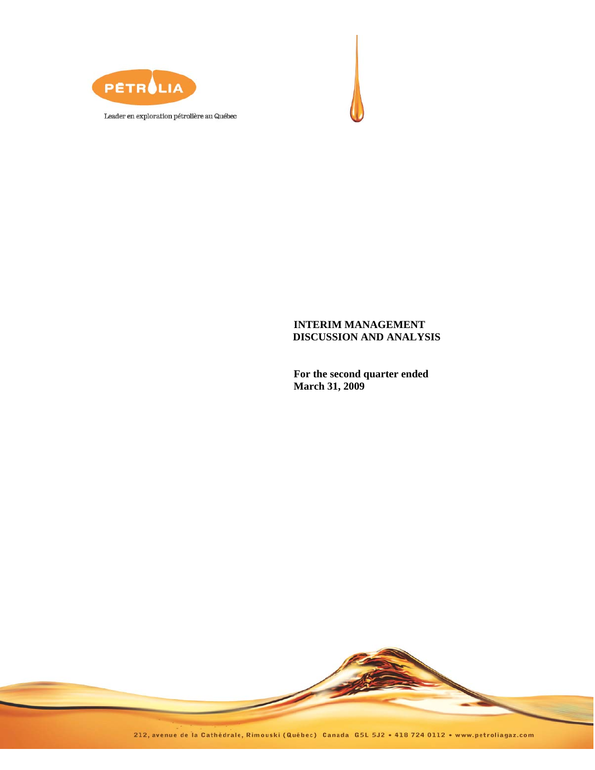



**For the second quarter ended March 31, 2009** 



212, avenue de la Cathédrale, Rimouski (Québec) Canada G5L 5J2 · 418 724 0112 · www.petroliagaz.com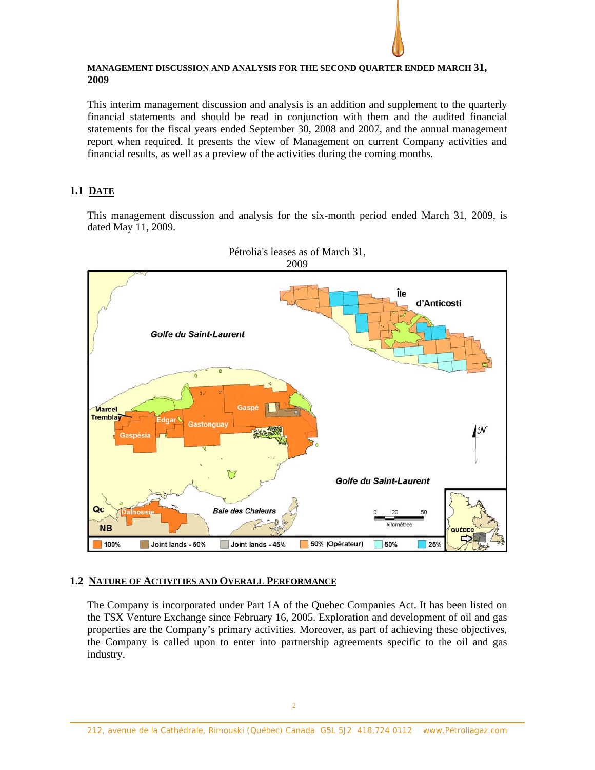### **MANAGEMENT DISCUSSION AND ANALYSIS FOR THE SECOND QUARTER ENDED MARCH 31, 2009**

This interim management discussion and analysis is an addition and supplement to the quarterly financial statements and should be read in conjunction with them and the audited financial statements for the fiscal years ended September 30, 2008 and 2007, and the annual management report when required. It presents the view of Management on current Company activities and financial results, as well as a preview of the activities during the coming months.

# **1.1 DATE**

This management discussion and analysis for the six-month period ended March 31, 2009, is dated May 11, 2009.



Pétrolia's leases as of March 31,

# **1.2 NATURE OF ACTIVITIES AND OVERALL PERFORMANCE**

The Company is incorporated under Part 1A of the Quebec Companies Act. It has been listed on the TSX Venture Exchange since February 16, 2005. Exploration and development of oil and gas properties are the Company's primary activities. Moreover, as part of achieving these objectives, the Company is called upon to enter into partnership agreements specific to the oil and gas industry.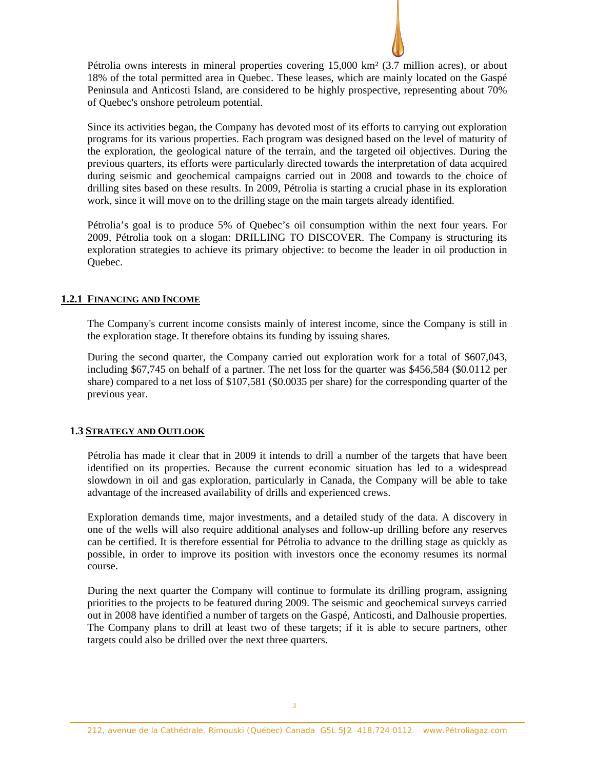Pétrolia owns interests in mineral properties covering 15,000 km² (3.7 million acres), or about 18% of the total permitted area in Quebec. These leases, which are mainly located on the Gaspé Peninsula and Anticosti Island, are considered to be highly prospective, representing about 70% of Quebec's onshore petroleum potential.

Since its activities began, the Company has devoted most of its efforts to carrying out exploration programs for its various properties. Each program was designed based on the level of maturity of the exploration, the geological nature of the terrain, and the targeted oil objectives. During the previous quarters, its efforts were particularly directed towards the interpretation of data acquired during seismic and geochemical campaigns carried out in 2008 and towards to the choice of drilling sites based on these results. In 2009, Pétrolia is starting a crucial phase in its exploration work, since it will move on to the drilling stage on the main targets already identified.

Pétrolia's goal is to produce 5% of Quebec's oil consumption within the next four years. For 2009, Pétrolia took on a slogan: DRILLING TO DISCOVER. The Company is structuring its exploration strategies to achieve its primary objective: to become the leader in oil production in Quebec.

# **1.2.1 FINANCING AND INCOME**

The Company's current income consists mainly of interest income, since the Company is still in the exploration stage. It therefore obtains its funding by issuing shares.

During the second quarter, the Company carried out exploration work for a total of \$607,043, including \$67,745 on behalf of a partner. The net loss for the quarter was \$456,584 (\$0.0112 per share) compared to a net loss of \$107,581 (\$0.0035 per share) for the corresponding quarter of the previous year.

# **1.3 STRATEGY AND OUTLOOK**

Pétrolia has made it clear that in 2009 it intends to drill a number of the targets that have been identified on its properties. Because the current economic situation has led to a widespread slowdown in oil and gas exploration, particularly in Canada, the Company will be able to take advantage of the increased availability of drills and experienced crews.

Exploration demands time, major investments, and a detailed study of the data. A discovery in one of the wells will also require additional analyses and follow-up drilling before any reserves can be certified. It is therefore essential for Pétrolia to advance to the drilling stage as quickly as possible, in order to improve its position with investors once the economy resumes its normal course.

During the next quarter the Company will continue to formulate its drilling program, assigning priorities to the projects to be featured during 2009. The seismic and geochemical surveys carried out in 2008 have identified a number of targets on the Gaspé, Anticosti, and Dalhousie properties. The Company plans to drill at least two of these targets; if it is able to secure partners, other targets could also be drilled over the next three quarters.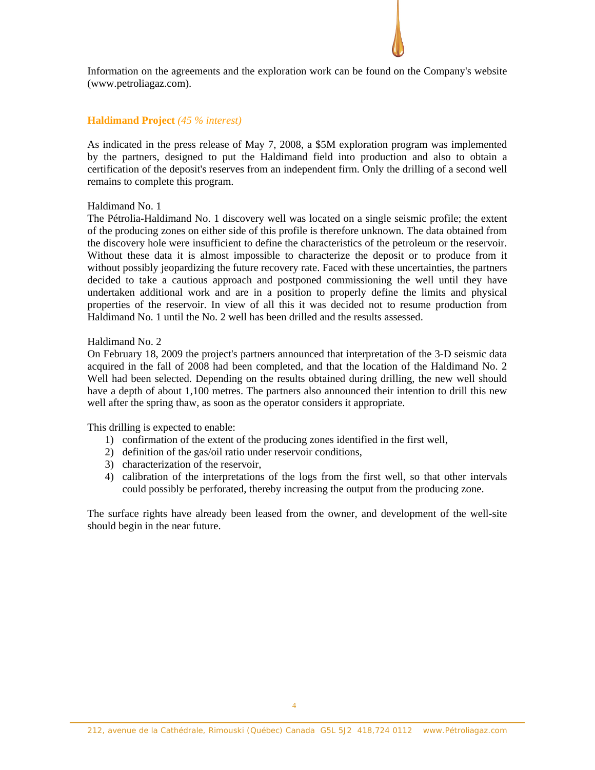Information on the agreements and the exploration work can be found on the Company's website (www.petroliagaz.com).

### **Haldimand Project** *(45 % interest)*

As indicated in the press release of May 7, 2008, a \$5M exploration program was implemented by the partners, designed to put the Haldimand field into production and also to obtain a certification of the deposit's reserves from an independent firm. Only the drilling of a second well remains to complete this program.

#### Haldimand No. 1

The Pétrolia-Haldimand No. 1 discovery well was located on a single seismic profile; the extent of the producing zones on either side of this profile is therefore unknown. The data obtained from the discovery hole were insufficient to define the characteristics of the petroleum or the reservoir. Without these data it is almost impossible to characterize the deposit or to produce from it without possibly jeopardizing the future recovery rate. Faced with these uncertainties, the partners decided to take a cautious approach and postponed commissioning the well until they have undertaken additional work and are in a position to properly define the limits and physical properties of the reservoir. In view of all this it was decided not to resume production from Haldimand No. 1 until the No. 2 well has been drilled and the results assessed.

#### Haldimand No. 2

On February 18, 2009 the project's partners announced that interpretation of the 3-D seismic data acquired in the fall of 2008 had been completed, and that the location of the Haldimand No. 2 Well had been selected. Depending on the results obtained during drilling, the new well should have a depth of about 1,100 metres. The partners also announced their intention to drill this new well after the spring thaw, as soon as the operator considers it appropriate.

This drilling is expected to enable:

- 1) confirmation of the extent of the producing zones identified in the first well,
- 2) definition of the gas/oil ratio under reservoir conditions,
- 3) characterization of the reservoir,
- 4) calibration of the interpretations of the logs from the first well, so that other intervals could possibly be perforated, thereby increasing the output from the producing zone.

The surface rights have already been leased from the owner, and development of the well-site should begin in the near future.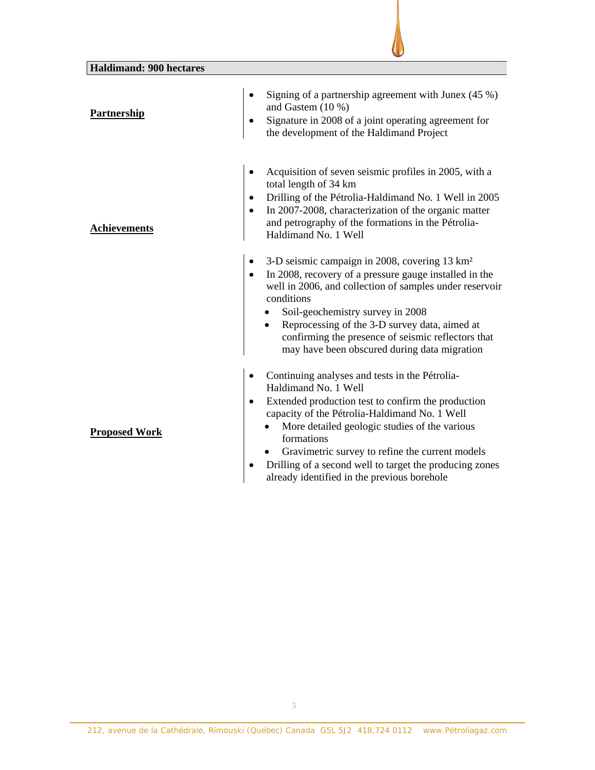| <b>Haldimand: 900 hectares</b> |                                                                                                                                                                                                                                                                                                                                                                                                           |
|--------------------------------|-----------------------------------------------------------------------------------------------------------------------------------------------------------------------------------------------------------------------------------------------------------------------------------------------------------------------------------------------------------------------------------------------------------|
| <b>Partnership</b>             | Signing of a partnership agreement with Junex $(45\%)$<br>and Gastem (10 %)<br>Signature in 2008 of a joint operating agreement for<br>the development of the Haldimand Project                                                                                                                                                                                                                           |
| <b>Achievements</b>            | Acquisition of seven seismic profiles in 2005, with a<br>total length of 34 km<br>Drilling of the Pétrolia-Haldimand No. 1 Well in 2005<br>In 2007-2008, characterization of the organic matter<br>and petrography of the formations in the Pétrolia-<br>Haldimand No. 1 Well                                                                                                                             |
|                                | 3-D seismic campaign in 2008, covering 13 km <sup>2</sup><br>In 2008, recovery of a pressure gauge installed in the<br>well in 2006, and collection of samples under reservoir<br>conditions<br>Soil-geochemistry survey in 2008<br>Reprocessing of the 3-D survey data, aimed at<br>confirming the presence of seismic reflectors that<br>may have been obscured during data migration                   |
| <b>Proposed Work</b>           | Continuing analyses and tests in the Pétrolia-<br>Haldimand No. 1 Well<br>Extended production test to confirm the production<br>capacity of the Pétrolia-Haldimand No. 1 Well<br>More detailed geologic studies of the various<br>formations<br>Gravimetric survey to refine the current models<br>Drilling of a second well to target the producing zones<br>already identified in the previous borehole |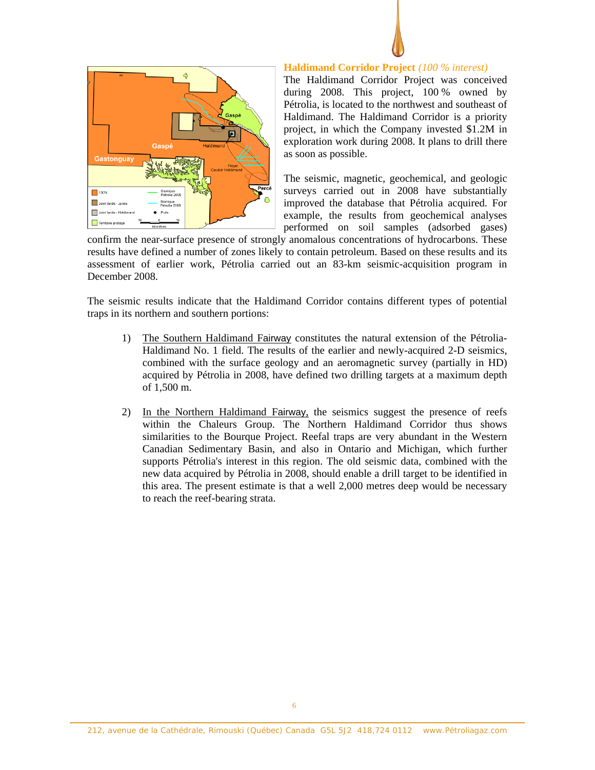



#### **Haldimand Corridor Project** *(100 % interest)*

The Haldimand Corridor Project was conceived during 2008. This project, 100 % owned by Pétrolia, is located to the northwest and southeast of Haldimand. The Haldimand Corridor is a priority project, in which the Company invested \$1.2M in exploration work during 2008. It plans to drill there as soon as possible.

The seismic, magnetic, geochemical, and geologic surveys carried out in 2008 have substantially improved the database that Pétrolia acquired. For example, the results from geochemical analyses performed on soil samples (adsorbed gases)

confirm the near-surface presence of strongly anomalous concentrations of hydrocarbons. These results have defined a number of zones likely to contain petroleum. Based on these results and its assessment of earlier work, Pétrolia carried out an 83-km seismic-acquisition program in December 2008.

The seismic results indicate that the Haldimand Corridor contains different types of potential traps in its northern and southern portions:

- 1) The Southern Haldimand Fairway constitutes the natural extension of the Pétrolia-Haldimand No. 1 field. The results of the earlier and newly-acquired 2-D seismics, combined with the surface geology and an aeromagnetic survey (partially in HD) acquired by Pétrolia in 2008, have defined two drilling targets at a maximum depth of 1,500 m.
- 2) In the Northern Haldimand Fairway, the seismics suggest the presence of reefs within the Chaleurs Group. The Northern Haldimand Corridor thus shows similarities to the Bourque Project. Reefal traps are very abundant in the Western Canadian Sedimentary Basin, and also in Ontario and Michigan, which further supports Pétrolia's interest in this region. The old seismic data, combined with the new data acquired by Pétrolia in 2008, should enable a drill target to be identified in this area. The present estimate is that a well 2,000 metres deep would be necessary to reach the reef-bearing strata.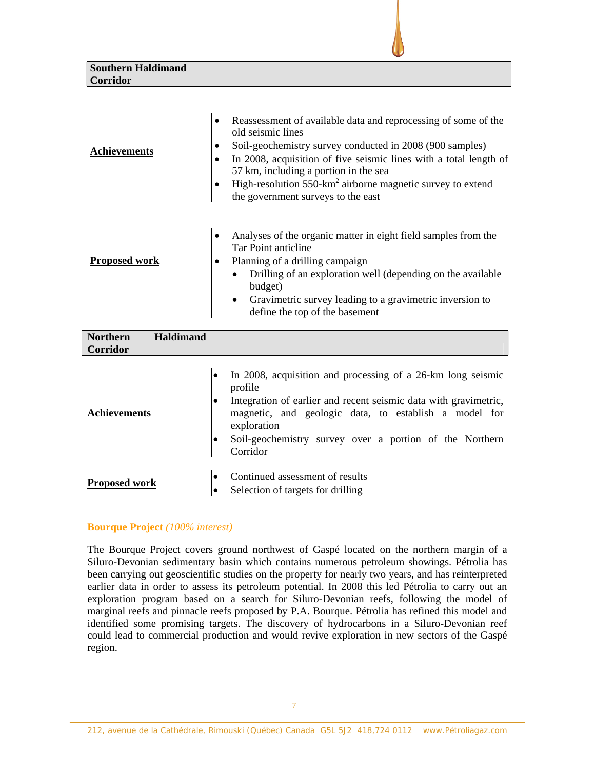| <b>Southern Haldimand</b> |  |  |
|---------------------------|--|--|
| Corridor                  |  |  |
|                           |  |  |
|                           |  |  |

| <b>Achievements</b>                 | Reassessment of available data and reprocessing of some of the<br>٠<br>old seismic lines<br>Soil-geochemistry survey conducted in 2008 (900 samples)<br>٠<br>In 2008, acquisition of five seismic lines with a total length of<br>$\bullet$<br>57 km, including a portion in the sea<br>High-resolution 550-km <sup>2</sup> airborne magnetic survey to extend<br>the government surveys to the east |
|-------------------------------------|------------------------------------------------------------------------------------------------------------------------------------------------------------------------------------------------------------------------------------------------------------------------------------------------------------------------------------------------------------------------------------------------------|
| <b>Proposed work</b>                | Analyses of the organic matter in eight field samples from the<br>Tar Point anticline<br>Planning of a drilling campaign<br>٠<br>Drilling of an exploration well (depending on the available<br>budget)<br>Gravimetric survey leading to a gravimetric inversion to<br>$\bullet$<br>define the top of the basement                                                                                   |
| <b>Haldimand</b><br><b>Northern</b> |                                                                                                                                                                                                                                                                                                                                                                                                      |

| <b>Corridor</b>      |                                                                                                                                                                                                                                                                                           |
|----------------------|-------------------------------------------------------------------------------------------------------------------------------------------------------------------------------------------------------------------------------------------------------------------------------------------|
| <b>Achievements</b>  | In 2008, acquisition and processing of a 26-km long seismic<br>profile<br>Integration of earlier and recent seismic data with gravimetric,<br>magnetic, and geologic data, to establish a model for<br>exploration<br>Soil-geochemistry survey over a portion of the Northern<br>Corridor |
| <b>Proposed work</b> | Continued assessment of results<br>Selection of targets for drilling                                                                                                                                                                                                                      |

# **Bourque Project** *(100% interest)*

The Bourque Project covers ground northwest of Gaspé located on the northern margin of a Siluro-Devonian sedimentary basin which contains numerous petroleum showings. Pétrolia has been carrying out geoscientific studies on the property for nearly two years, and has reinterpreted earlier data in order to assess its petroleum potential. In 2008 this led Pétrolia to carry out an exploration program based on a search for Siluro-Devonian reefs, following the model of marginal reefs and pinnacle reefs proposed by P.A. Bourque. Pétrolia has refined this model and identified some promising targets. The discovery of hydrocarbons in a Siluro-Devonian reef could lead to commercial production and would revive exploration in new sectors of the Gaspé region.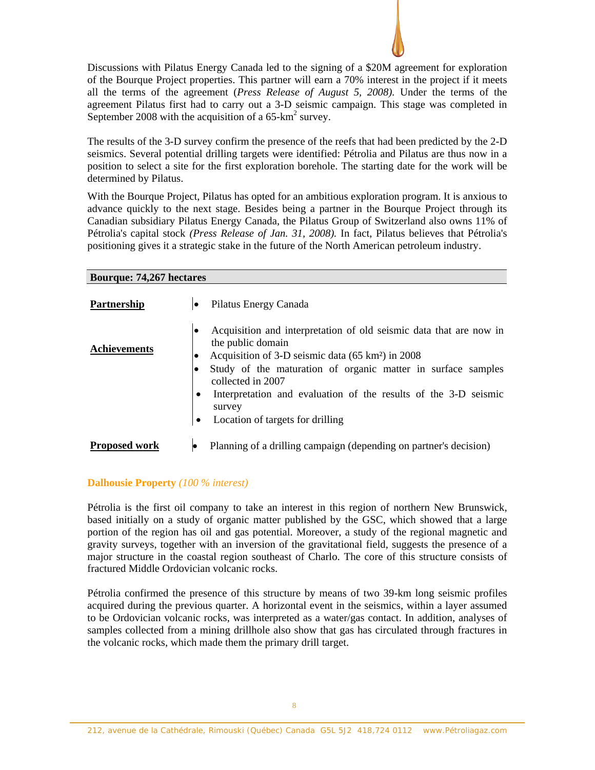Discussions with Pilatus Energy Canada led to the signing of a \$20M agreement for exploration of the Bourque Project properties. This partner will earn a 70% interest in the project if it meets all the terms of the agreement (*Press Release of August 5, 2008).* Under the terms of the agreement Pilatus first had to carry out a 3-D seismic campaign. This stage was completed in September 2008 with the acquisition of a  $65\text{-}km^2$  survey.

The results of the 3-D survey confirm the presence of the reefs that had been predicted by the 2-D seismics. Several potential drilling targets were identified: Pétrolia and Pilatus are thus now in a position to select a site for the first exploration borehole. The starting date for the work will be determined by Pilatus.

With the Bourque Project, Pilatus has opted for an ambitious exploration program. It is anxious to advance quickly to the next stage. Besides being a partner in the Bourque Project through its Canadian subsidiary Pilatus Energy Canada, the Pilatus Group of Switzerland also owns 11% of Pétrolia's capital stock *(Press Release of Jan. 31, 2008).* In fact, Pilatus believes that Pétrolia's positioning gives it a strategic stake in the future of the North American petroleum industry.

# **Bourque: 74,267 hectares**

| <b>Partnership</b>   |        | Pilatus Energy Canada                                                                                                                                                                                                                                                                                                                                          |
|----------------------|--------|----------------------------------------------------------------------------------------------------------------------------------------------------------------------------------------------------------------------------------------------------------------------------------------------------------------------------------------------------------------|
| <b>Achievements</b>  | ٠<br>٠ | Acquisition and interpretation of old seismic data that are now in<br>the public domain<br>Acquisition of 3-D seismic data (65 km <sup>2</sup> ) in 2008<br>Study of the maturation of organic matter in surface samples<br>collected in 2007<br>Interpretation and evaluation of the results of the 3-D seismic<br>survey<br>Location of targets for drilling |
| <b>Proposed work</b> |        | Planning of a drilling campaign (depending on partner's decision)                                                                                                                                                                                                                                                                                              |

#### **Dalhousie Property** *(100 % interest)*

Pétrolia is the first oil company to take an interest in this region of northern New Brunswick, based initially on a study of organic matter published by the GSC, which showed that a large portion of the region has oil and gas potential. Moreover, a study of the regional magnetic and gravity surveys, together with an inversion of the gravitational field, suggests the presence of a major structure in the coastal region southeast of Charlo. The core of this structure consists of fractured Middle Ordovician volcanic rocks.

Pétrolia confirmed the presence of this structure by means of two 39-km long seismic profiles acquired during the previous quarter. A horizontal event in the seismics, within a layer assumed to be Ordovician volcanic rocks, was interpreted as a water/gas contact. In addition, analyses of samples collected from a mining drillhole also show that gas has circulated through fractures in the volcanic rocks, which made them the primary drill target.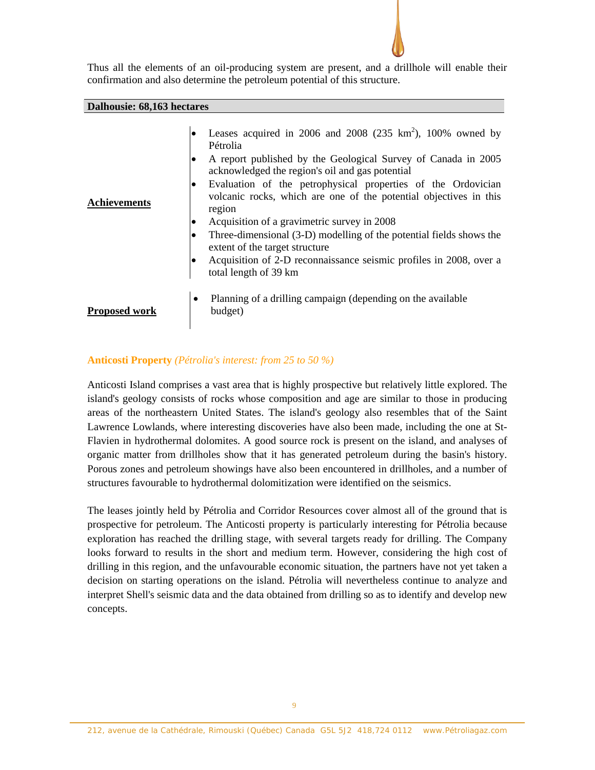

Thus all the elements of an oil-producing system are present, and a drillhole will enable their confirmation and also determine the petroleum potential of this structure.

#### **Dalhousie: 68,163 hectares**

| <b>Achievements</b>  | Leases acquired in 2006 and 2008 (235 $km^2$ ), 100% owned by<br>Pétrolia<br>A report published by the Geological Survey of Canada in 2005<br>acknowledged the region's oil and gas potential<br>Evaluation of the petrophysical properties of the Ordovician<br>٠<br>volcanic rocks, which are one of the potential objectives in this<br>region<br>Acquisition of a gravimetric survey in 2008<br>$\bullet$<br>Three-dimensional (3-D) modelling of the potential fields shows the<br>extent of the target structure<br>Acquisition of 2-D reconnaissance seismic profiles in 2008, over a<br>total length of 39 km |
|----------------------|-----------------------------------------------------------------------------------------------------------------------------------------------------------------------------------------------------------------------------------------------------------------------------------------------------------------------------------------------------------------------------------------------------------------------------------------------------------------------------------------------------------------------------------------------------------------------------------------------------------------------|
| <b>Proposed work</b> | Planning of a drilling campaign (depending on the available<br>$\bullet$<br>budget)                                                                                                                                                                                                                                                                                                                                                                                                                                                                                                                                   |

### **Anticosti Property** *(Pétrolia's interest: from 25 to 50 %)*

Anticosti Island comprises a vast area that is highly prospective but relatively little explored. The island's geology consists of rocks whose composition and age are similar to those in producing areas of the northeastern United States. The island's geology also resembles that of the Saint Lawrence Lowlands, where interesting discoveries have also been made, including the one at St-Flavien in hydrothermal dolomites. A good source rock is present on the island, and analyses of organic matter from drillholes show that it has generated petroleum during the basin's history. Porous zones and petroleum showings have also been encountered in drillholes, and a number of structures favourable to hydrothermal dolomitization were identified on the seismics.

The leases jointly held by Pétrolia and Corridor Resources cover almost all of the ground that is prospective for petroleum. The Anticosti property is particularly interesting for Pétrolia because exploration has reached the drilling stage, with several targets ready for drilling. The Company looks forward to results in the short and medium term. However, considering the high cost of drilling in this region, and the unfavourable economic situation, the partners have not yet taken a decision on starting operations on the island. Pétrolia will nevertheless continue to analyze and interpret Shell's seismic data and the data obtained from drilling so as to identify and develop new concepts.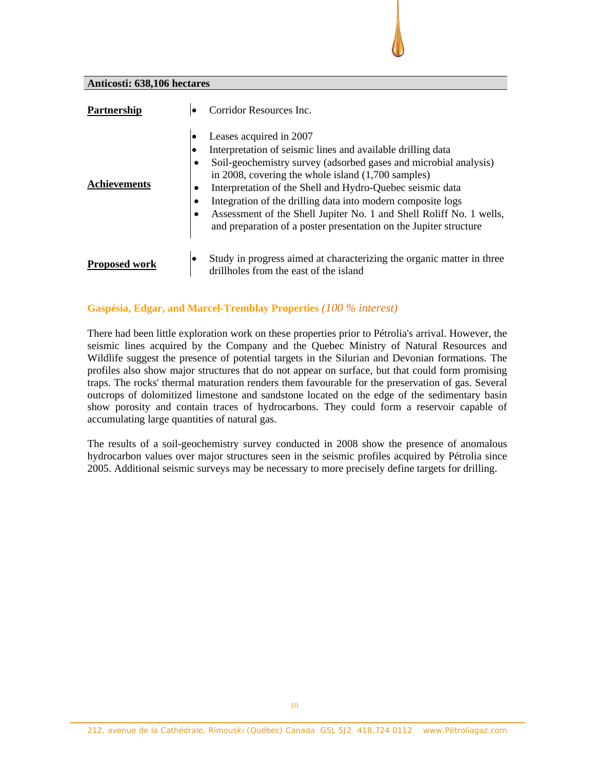### **Anticosti: 638,106 hectares**

| <b>Partnership</b>   | Corridor Resources Inc.<br>$\bullet$                                                                                                                                                                                                                                                                                                                                                                                                                                                                                                           |
|----------------------|------------------------------------------------------------------------------------------------------------------------------------------------------------------------------------------------------------------------------------------------------------------------------------------------------------------------------------------------------------------------------------------------------------------------------------------------------------------------------------------------------------------------------------------------|
| <b>Achievements</b>  | Leases acquired in 2007<br>Interpretation of seismic lines and available drilling data<br>Soil-geochemistry survey (adsorbed gases and microbial analysis)<br>$\bullet$<br>in 2008, covering the whole island $(1,700 \text{ samples})$<br>Interpretation of the Shell and Hydro-Quebec seismic data<br>$\bullet$<br>Integration of the drilling data into modern composite logs<br>٠<br>Assessment of the Shell Jupiter No. 1 and Shell Roliff No. 1 wells,<br>$\bullet$<br>and preparation of a poster presentation on the Jupiter structure |
| <b>Proposed work</b> | Study in progress aimed at characterizing the organic matter in three<br>drillholes from the east of the island                                                                                                                                                                                                                                                                                                                                                                                                                                |

### **Gaspésia, Edgar, and Marcel-Tremblay Properties** *(100 % interest)*

There had been little exploration work on these properties prior to Pétrolia's arrival. However, the seismic lines acquired by the Company and the Quebec Ministry of Natural Resources and Wildlife suggest the presence of potential targets in the Silurian and Devonian formations. The profiles also show major structures that do not appear on surface, but that could form promising traps. The rocks' thermal maturation renders them favourable for the preservation of gas. Several outcrops of dolomitized limestone and sandstone located on the edge of the sedimentary basin show porosity and contain traces of hydrocarbons. They could form a reservoir capable of accumulating large quantities of natural gas.

The results of a soil-geochemistry survey conducted in 2008 show the presence of anomalous hydrocarbon values over major structures seen in the seismic profiles acquired by Pétrolia since 2005. Additional seismic surveys may be necessary to more precisely define targets for drilling.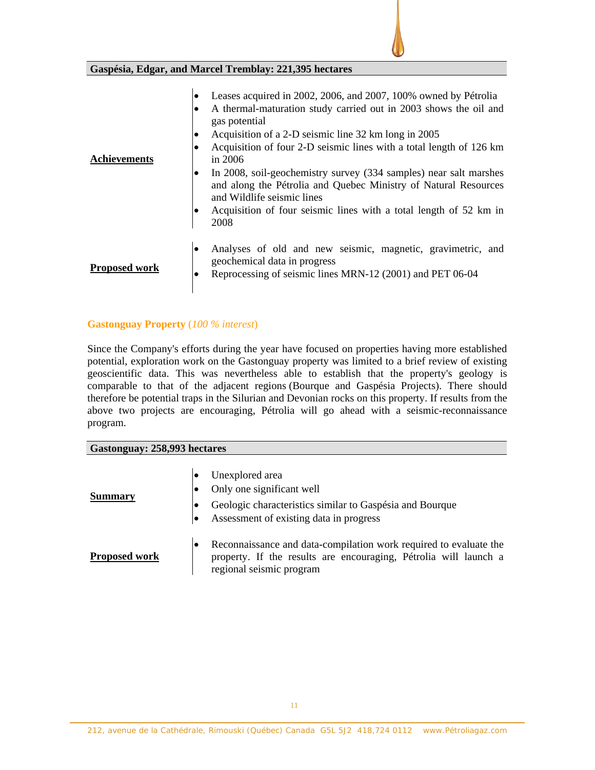**Gaspésia, Edgar, and Marcel Tremblay: 221,395 hectares** 

| <b>Achievements</b>  | Leases acquired in 2002, 2006, and 2007, 100% owned by Pétrolia<br>A thermal-maturation study carried out in 2003 shows the oil and<br>gas potential<br>Acquisition of a 2-D seismic line 32 km long in 2005<br>٠<br>Acquisition of four 2-D seismic lines with a total length of 126 km<br>in $2006$<br>In 2008, soil-geochemistry survey (334 samples) near salt marshes<br>$\bullet$<br>and along the Pétrolia and Quebec Ministry of Natural Resources<br>and Wildlife seismic lines<br>Acquisition of four seismic lines with a total length of 52 km in<br>2008 |
|----------------------|-----------------------------------------------------------------------------------------------------------------------------------------------------------------------------------------------------------------------------------------------------------------------------------------------------------------------------------------------------------------------------------------------------------------------------------------------------------------------------------------------------------------------------------------------------------------------|
| <b>Proposed work</b> | Analyses of old and new seismic, magnetic, gravimetric, and<br>٠<br>geochemical data in progress<br>Reprocessing of seismic lines MRN-12 (2001) and PET 06-04                                                                                                                                                                                                                                                                                                                                                                                                         |

# **Gastonguay Property** (*100 % interest*)

Since the Company's efforts during the year have focused on properties having more established potential, exploration work on the Gastonguay property was limited to a brief review of existing geoscientific data. This was nevertheless able to establish that the property's geology is comparable to that of the adjacent regions (Bourque and Gaspésia Projects). There should therefore be potential traps in the Silurian and Devonian rocks on this property. If results from the above two projects are encouraging, Pétrolia will go ahead with a seismic-reconnaissance program.

# **Gastonguay: 258,993 hectares**

| <b>Summary</b>       | ∣● | Unexplored area<br>Only one significant well<br>Geologic characteristics similar to Gaspésia and Bourque<br>Assessment of existing data in progress               |
|----------------------|----|-------------------------------------------------------------------------------------------------------------------------------------------------------------------|
| <b>Proposed work</b> |    | Reconnaissance and data-compilation work required to evaluate the<br>property. If the results are encouraging, Pétrolia will launch a<br>regional seismic program |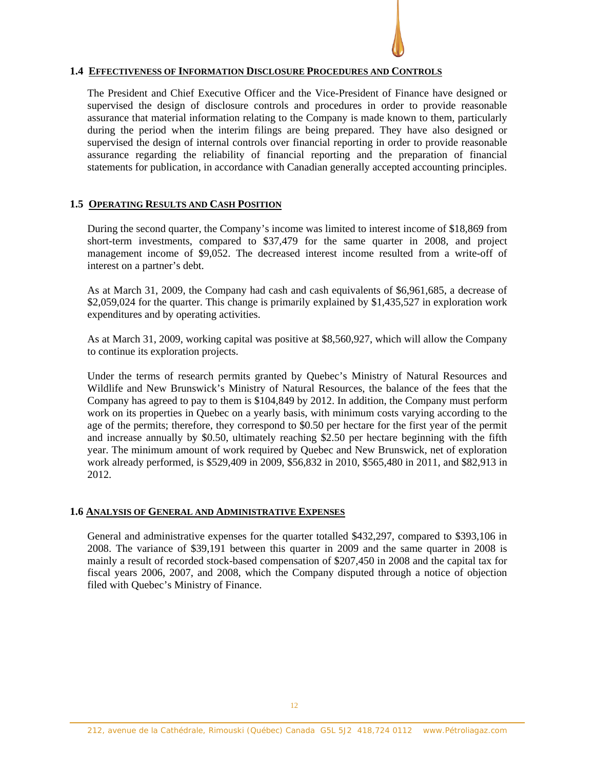# **1.4 EFFECTIVENESS OF INFORMATION DISCLOSURE PROCEDURES AND CONTROLS**

The President and Chief Executive Officer and the Vice-President of Finance have designed or supervised the design of disclosure controls and procedures in order to provide reasonable assurance that material information relating to the Company is made known to them, particularly during the period when the interim filings are being prepared. They have also designed or supervised the design of internal controls over financial reporting in order to provide reasonable assurance regarding the reliability of financial reporting and the preparation of financial statements for publication, in accordance with Canadian generally accepted accounting principles.

### **1.5 OPERATING RESULTS AND CASH POSITION**

During the second quarter, the Company's income was limited to interest income of \$18,869 from short-term investments, compared to \$37,479 for the same quarter in 2008, and project management income of \$9,052. The decreased interest income resulted from a write-off of interest on a partner's debt.

As at March 31, 2009, the Company had cash and cash equivalents of \$6,961,685, a decrease of \$2,059,024 for the quarter. This change is primarily explained by \$1,435,527 in exploration work expenditures and by operating activities.

As at March 31, 2009, working capital was positive at \$8,560,927, which will allow the Company to continue its exploration projects.

Under the terms of research permits granted by Quebec's Ministry of Natural Resources and Wildlife and New Brunswick's Ministry of Natural Resources, the balance of the fees that the Company has agreed to pay to them is \$104,849 by 2012. In addition, the Company must perform work on its properties in Quebec on a yearly basis, with minimum costs varying according to the age of the permits; therefore, they correspond to \$0.50 per hectare for the first year of the permit and increase annually by \$0.50, ultimately reaching \$2.50 per hectare beginning with the fifth year. The minimum amount of work required by Quebec and New Brunswick, net of exploration work already performed, is \$529,409 in 2009, \$56,832 in 2010, \$565,480 in 2011, and \$82,913 in 2012.

#### **1.6 ANALYSIS OF GENERAL AND ADMINISTRATIVE EXPENSES**

General and administrative expenses for the quarter totalled \$432,297, compared to \$393,106 in 2008. The variance of \$39,191 between this quarter in 2009 and the same quarter in 2008 is mainly a result of recorded stock-based compensation of \$207,450 in 2008 and the capital tax for fiscal years 2006, 2007, and 2008, which the Company disputed through a notice of objection filed with Quebec's Ministry of Finance.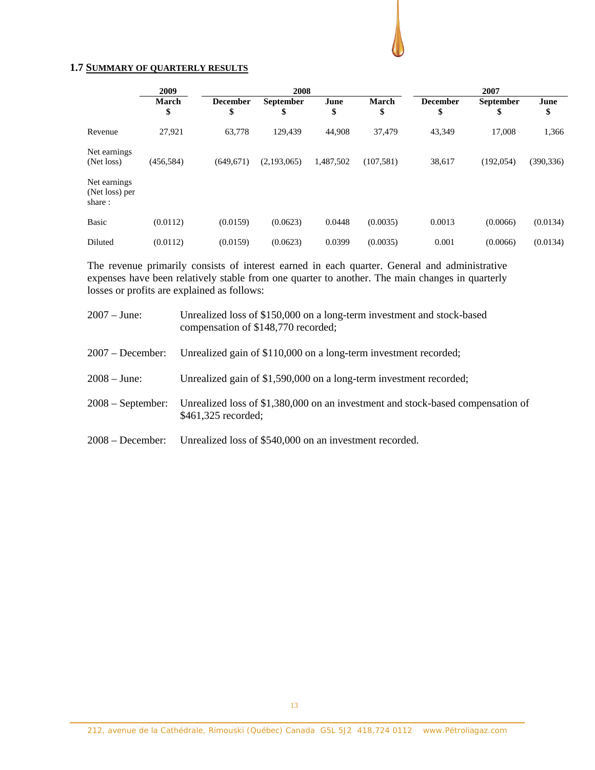### **1.7 SUMMARY OF QUARTERLY RESULTS**

|                                          | 2009               | 2008                  |                 |            | 2007               |                       |                        |            |
|------------------------------------------|--------------------|-----------------------|-----------------|------------|--------------------|-----------------------|------------------------|------------|
|                                          | <b>March</b><br>\$ | <b>December</b><br>\$ | September<br>\$ | June<br>\$ | <b>March</b><br>\$ | <b>December</b><br>\$ | <b>September</b><br>\$ | June<br>\$ |
| Revenue                                  | 27,921             | 63,778                | 129.439         | 44,908     | 37,479             | 43,349                | 17,008                 | 1,366      |
| Net earnings<br>(Net loss)               | (456, 584)         | (649, 671)            | (2,193,065)     | 1,487,502  | (107, 581)         | 38,617                | (192, 054)             | (390, 336) |
| Net earnings<br>(Net loss) per<br>share: |                    |                       |                 |            |                    |                       |                        |            |
| <b>Basic</b>                             | (0.0112)           | (0.0159)              | (0.0623)        | 0.0448     | (0.0035)           | 0.0013                | (0.0066)               | (0.0134)   |
| Diluted                                  | (0.0112)           | (0.0159)              | (0.0623)        | 0.0399     | (0.0035)           | 0.001                 | (0.0066)               | (0.0134)   |

The revenue primarily consists of interest earned in each quarter. General and administrative expenses have been relatively stable from one quarter to another. The main changes in quarterly losses or profits are explained as follows:

| $2007 - June:$      | Unrealized loss of \$150,000 on a long-term investment and stock-based<br>compensation of \$148,770 recorded; |
|---------------------|---------------------------------------------------------------------------------------------------------------|
| $2007 - December:$  | Unrealized gain of \$110,000 on a long-term investment recorded;                                              |
| $2008 - June:$      | Unrealized gain of \$1,590,000 on a long-term investment recorded;                                            |
| $2008 - September:$ | Unrealized loss of \$1,380,000 on an investment and stock-based compensation of<br>\$461,325 recorded;        |
| $2008 - December:$  | Unrealized loss of \$540,000 on an investment recorded.                                                       |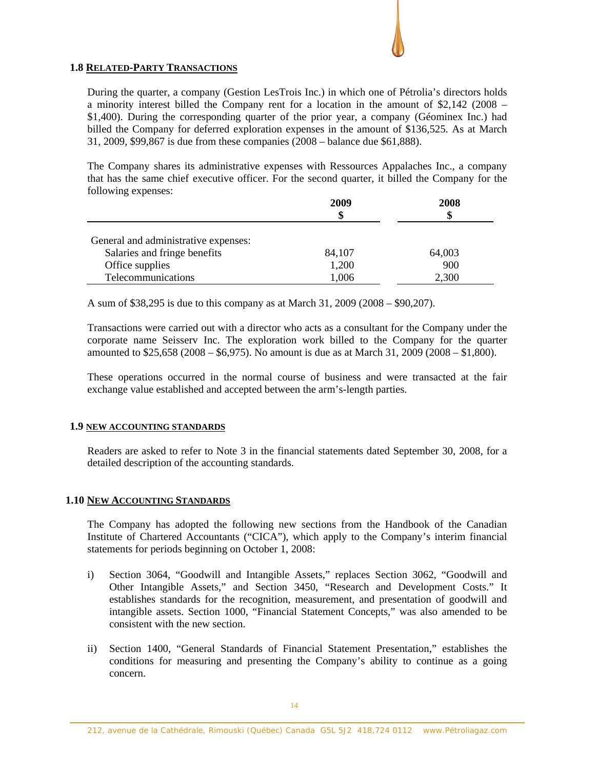### **1.8 RELATED-PARTY TRANSACTIONS**

During the quarter, a company (Gestion LesTrois Inc.) in which one of Pétrolia's directors holds a minority interest billed the Company rent for a location in the amount of \$2,142 (2008 – \$1,400). During the corresponding quarter of the prior year, a company (Géominex Inc.) had billed the Company for deferred exploration expenses in the amount of \$136,525. As at March 31, 2009, \$99,867 is due from these companies (2008 – balance due \$61,888).

The Company shares its administrative expenses with Ressources Appalaches Inc., a company that has the same chief executive officer. For the second quarter, it billed the Company for the following expenses:

|                                                                                         | 2009<br>\$      | 2008<br>S     |
|-----------------------------------------------------------------------------------------|-----------------|---------------|
| General and administrative expenses:<br>Salaries and fringe benefits<br>Office supplies | 84,107<br>1,200 | 64,003<br>900 |
| Telecommunications                                                                      | 1,006           | 2,300         |

A sum of \$38,295 is due to this company as at March 31, 2009 (2008 – \$90,207).

Transactions were carried out with a director who acts as a consultant for the Company under the corporate name Seisserv Inc. The exploration work billed to the Company for the quarter amounted to \$25,658 (2008 – \$6,975). No amount is due as at March 31, 2009 (2008 – \$1,800).

These operations occurred in the normal course of business and were transacted at the fair exchange value established and accepted between the arm's-length parties.

#### **1.9 NEW ACCOUNTING STANDARDS**

Readers are asked to refer to Note 3 in the financial statements dated September 30, 2008, for a detailed description of the accounting standards.

# **1.10 NEW ACCOUNTING STANDARDS**

The Company has adopted the following new sections from the Handbook of the Canadian Institute of Chartered Accountants ("CICA"), which apply to the Company's interim financial statements for periods beginning on October 1, 2008:

- i) Section 3064, "Goodwill and Intangible Assets," replaces Section 3062, "Goodwill and Other Intangible Assets," and Section 3450, "Research and Development Costs." It establishes standards for the recognition, measurement, and presentation of goodwill and intangible assets. Section 1000, "Financial Statement Concepts," was also amended to be consistent with the new section.
- ii) Section 1400, "General Standards of Financial Statement Presentation," establishes the conditions for measuring and presenting the Company's ability to continue as a going concern.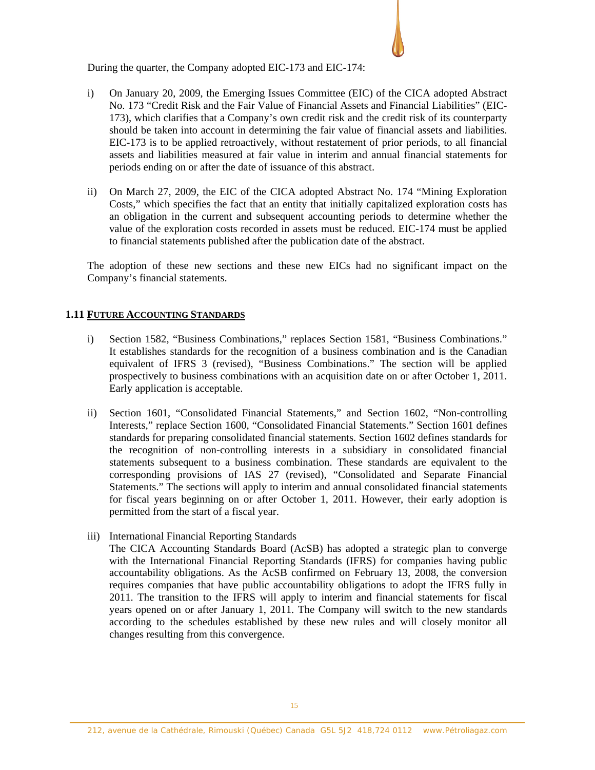During the quarter, the Company adopted EIC-173 and EIC-174:

- i) On January 20, 2009, the Emerging Issues Committee (EIC) of the CICA adopted Abstract No. 173 "Credit Risk and the Fair Value of Financial Assets and Financial Liabilities" (EIC-173), which clarifies that a Company's own credit risk and the credit risk of its counterparty should be taken into account in determining the fair value of financial assets and liabilities. EIC-173 is to be applied retroactively, without restatement of prior periods, to all financial assets and liabilities measured at fair value in interim and annual financial statements for periods ending on or after the date of issuance of this abstract.
- ii) On March 27, 2009, the EIC of the CICA adopted Abstract No. 174 "Mining Exploration Costs," which specifies the fact that an entity that initially capitalized exploration costs has an obligation in the current and subsequent accounting periods to determine whether the value of the exploration costs recorded in assets must be reduced. EIC-174 must be applied to financial statements published after the publication date of the abstract.

The adoption of these new sections and these new EICs had no significant impact on the Company's financial statements.

### **1.11 FUTURE ACCOUNTING STANDARDS**

- i) Section 1582, "Business Combinations," replaces Section 1581, "Business Combinations." It establishes standards for the recognition of a business combination and is the Canadian equivalent of IFRS 3 (revised), "Business Combinations." The section will be applied prospectively to business combinations with an acquisition date on or after October 1, 2011. Early application is acceptable.
- ii) Section 1601, "Consolidated Financial Statements," and Section 1602, "Non-controlling Interests," replace Section 1600, "Consolidated Financial Statements." Section 1601 defines standards for preparing consolidated financial statements. Section 1602 defines standards for the recognition of non-controlling interests in a subsidiary in consolidated financial statements subsequent to a business combination. These standards are equivalent to the corresponding provisions of IAS 27 (revised), "Consolidated and Separate Financial Statements." The sections will apply to interim and annual consolidated financial statements for fiscal years beginning on or after October 1, 2011. However, their early adoption is permitted from the start of a fiscal year.
- iii) International Financial Reporting Standards

The CICA Accounting Standards Board (AcSB) has adopted a strategic plan to converge with the International Financial Reporting Standards (IFRS) for companies having public accountability obligations. As the AcSB confirmed on February 13, 2008, the conversion requires companies that have public accountability obligations to adopt the IFRS fully in 2011. The transition to the IFRS will apply to interim and financial statements for fiscal years opened on or after January 1, 2011. The Company will switch to the new standards according to the schedules established by these new rules and will closely monitor all changes resulting from this convergence.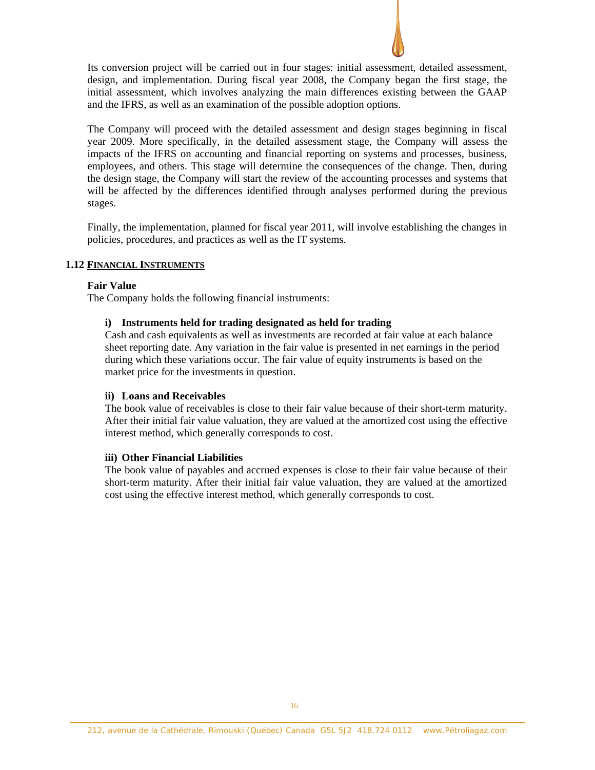

Its conversion project will be carried out in four stages: initial assessment, detailed assessment, design, and implementation. During fiscal year 2008, the Company began the first stage, the initial assessment, which involves analyzing the main differences existing between the GAAP and the IFRS, as well as an examination of the possible adoption options.

The Company will proceed with the detailed assessment and design stages beginning in fiscal year 2009. More specifically, in the detailed assessment stage, the Company will assess the impacts of the IFRS on accounting and financial reporting on systems and processes, business, employees, and others. This stage will determine the consequences of the change. Then, during the design stage, the Company will start the review of the accounting processes and systems that will be affected by the differences identified through analyses performed during the previous stages.

Finally, the implementation, planned for fiscal year 2011, will involve establishing the changes in policies, procedures, and practices as well as the IT systems.

### **1.12 FINANCIAL INSTRUMENTS**

#### **Fair Value**

The Company holds the following financial instruments:

### **i) Instruments held for trading designated as held for trading**

Cash and cash equivalents as well as investments are recorded at fair value at each balance sheet reporting date. Any variation in the fair value is presented in net earnings in the period during which these variations occur. The fair value of equity instruments is based on the market price for the investments in question.

#### **ii) Loans and Receivables**

The book value of receivables is close to their fair value because of their short-term maturity. After their initial fair value valuation, they are valued at the amortized cost using the effective interest method, which generally corresponds to cost.

#### **iii) Other Financial Liabilities**

The book value of payables and accrued expenses is close to their fair value because of their short-term maturity. After their initial fair value valuation, they are valued at the amortized cost using the effective interest method, which generally corresponds to cost.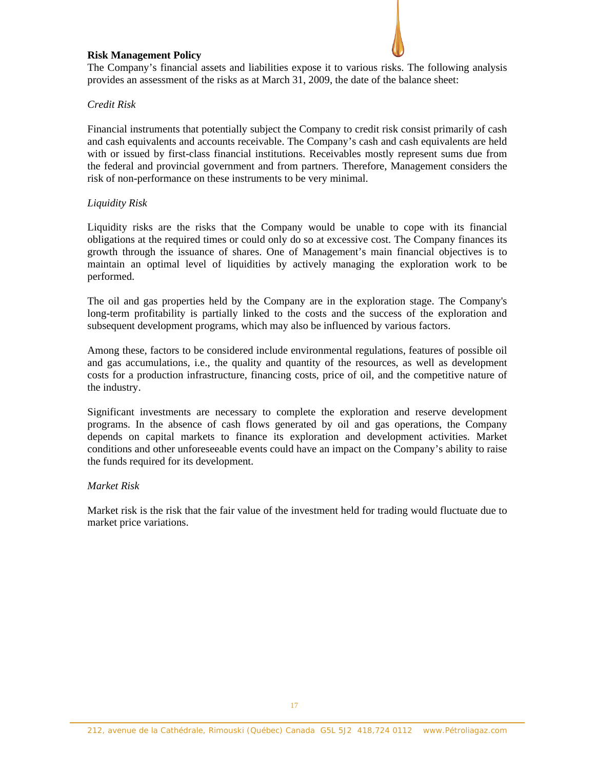### **Risk Management Policy**

The Company's financial assets and liabilities expose it to various risks. The following analysis provides an assessment of the risks as at March 31, 2009, the date of the balance sheet:

# *Credit Risk*

Financial instruments that potentially subject the Company to credit risk consist primarily of cash and cash equivalents and accounts receivable. The Company's cash and cash equivalents are held with or issued by first-class financial institutions. Receivables mostly represent sums due from the federal and provincial government and from partners. Therefore, Management considers the risk of non-performance on these instruments to be very minimal.

### *Liquidity Risk*

Liquidity risks are the risks that the Company would be unable to cope with its financial obligations at the required times or could only do so at excessive cost. The Company finances its growth through the issuance of shares. One of Management's main financial objectives is to maintain an optimal level of liquidities by actively managing the exploration work to be performed.

The oil and gas properties held by the Company are in the exploration stage. The Company's long-term profitability is partially linked to the costs and the success of the exploration and subsequent development programs, which may also be influenced by various factors.

Among these, factors to be considered include environmental regulations, features of possible oil and gas accumulations, i.e., the quality and quantity of the resources, as well as development costs for a production infrastructure, financing costs, price of oil, and the competitive nature of the industry.

Significant investments are necessary to complete the exploration and reserve development programs. In the absence of cash flows generated by oil and gas operations, the Company depends on capital markets to finance its exploration and development activities. Market conditions and other unforeseeable events could have an impact on the Company's ability to raise the funds required for its development.

### *Market Risk*

Market risk is the risk that the fair value of the investment held for trading would fluctuate due to market price variations.